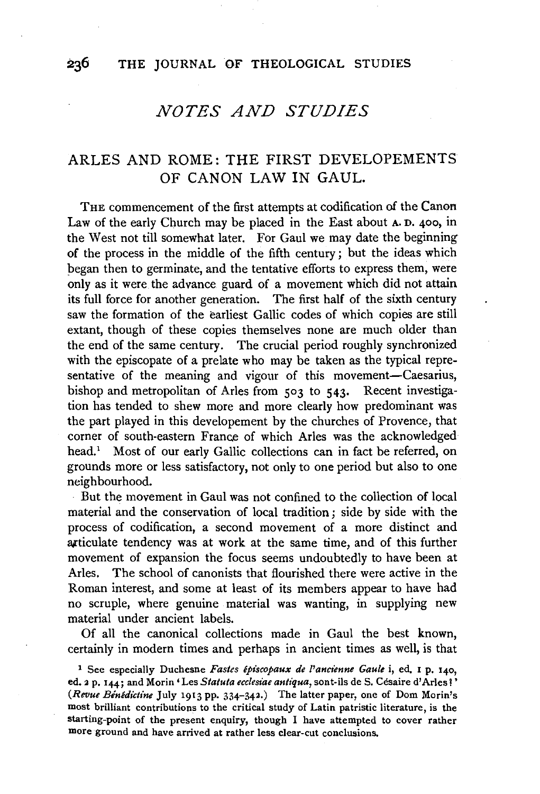#### 236 THE JOURNAL OF THEOLOGICAL STUDIES

# *NOTES AND STUDIES*

# ARLES AND ROME: THE FIRST DEVELOPEMENTS OF CANON LAW IN GAUL.

THE commencement of the first attempts at codification of the Canon Law of the early Church may be placed in the East about A. D. 400, in the West not till somewhat later. For Gaul we may date the beginning of the process in the middle of the fifth century ; but the ideas which began then to germinate, and the tentative efforts to express them, were only as it were the advance guard of a movement which did not attain its full force for another generation. The first half of the sixth century saw the formation of the earliest Gallic codes of which copies are still extant, though of these copies themselves none are much older than the end of the same century. The crucial period roughly synchronized with the episcopate of a prelate who may be taken as the typical representative of the meaning and vigour of this movement-Caesarius, bishop and metropolitan of Arles from 503 to 543. Recent investigation has tended to shew more and more clearly how predominant was the part played in this developement by the churches of Provence, that corner of south-eastern France of which Arles was the acknowledged head.<sup>1</sup> Most of our early Gallic collections can in fact be referred, on grounds more or less satisfactory, not only to one period but also to one neighbourhood.

But the movement in Gaul was not confined to the collection of local material and the conservation of local tradition; side by side with the process of codification, a second movement of a more distinct and articulate tendency was at work at the same time, and of this further movement of expansion the focus seems undoubtedly to have been at Arles. The school of canonists that flourished there were active in the Roman interest, and some at least of its members appear to have had no scruple, where genuine material was wanting, in supplying new material under ancient labels.

Of all the canonical collections made in Gaul the best known, certainly in modern times and perhaps in ancient times as well, is that

1 See especially Duchesne *Fastes episcopaux de l'ancienne Gaule* i, ed. I p. 140, ed. 2 p. 144; and Morin 'Les Statuta ecclesiae antiqua, sont-ils de S. Césaire d'Arles!' *(Revue Benedictine* July 1913 pp. 334-342.) The latter paper, one of Dom Morin's most brilliant contributions to the critical study of Latin patristic literature, is the starting-point of the present enquiry, though I have attempted to cover rather more ground and have arrived at rather less clear-cut conclusions.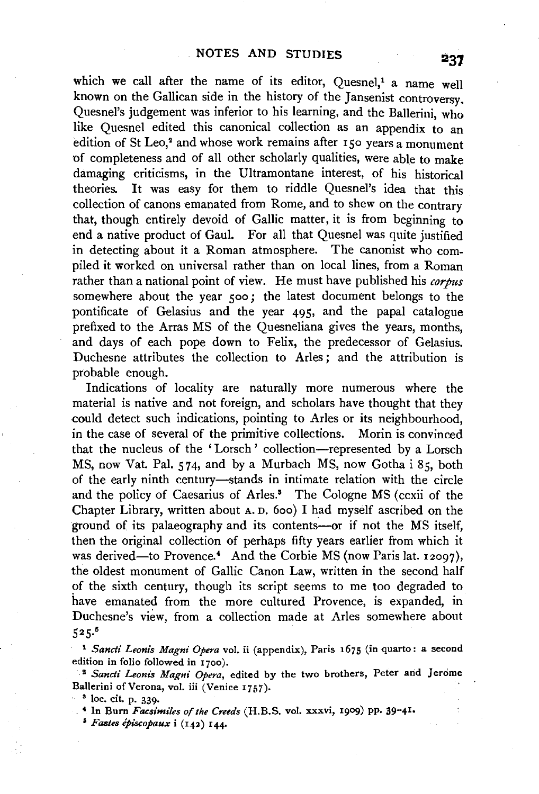which we call after the name of its editor, Quesnel,<sup>1</sup> a name well known on the Gallican side in the history of the Jansenist controversy. Quesnel's judgement was inferior to his learning, and the Ballerini, who like Quesnel edited this canonical collection as an appendix to an edition of St Leo,<sup>2</sup> and whose work remains after  $150$  years a monument of completeness and of all other scholarly qualities, were able to make damaging criticisms, in the Ultramontane interest, of his historical theories. It was easy for them to riddle Quesnel's idea that this collection of canons emanated from Rome, and to shew on the contrary that, though entirely devoid of Gallic matter, it is from beginning to end a native product of Gaul. For all that Quesnel was quite justified in detecting about it a Roman atmosphere. The canonist who compiled it worked on universal rather than on local lines, from a Roman rather than a national point of view. He must have published his *corpus*  somewhere about the year 500; the latest document belongs to the pontificate of Gelasius and the year 495, and the papal catalogue prefixed to the Arras MS of the Quesneliana gives the years, months, and days of each pope down to Felix, the predecessor of Gelasius. Duchesne attributes the collection to Arles ; and the attribution is probable enough.

Indications of locality are naturally more numerous where the material is native and not foreign, and scholars have thought that they could detect such indications, pointing to Arles or its neighbourhood, in the case of several of the primitive collections. Morin is convinced that the nucleus of the 'Lorsch' collection-represented by a Lorsch MS, now Vat. Pal. 574, and by a Murbach MS, now Gotha i 85, both of the early ninth century-stands in intimate relation with the circle and the policy of Caesarius of Arles.<sup>3</sup> The Cologne MS (ccxii of the Chapter Library, written about A. D. 600) I had myself ascribed on the ground of its palaeography and its contents-or if not the MS itself, then the original collection of perhaps fifty years earlier from which it was derived-to Provence.<sup>4</sup> And the Corbie MS (now Paris lat. 12097), the oldest monument of Gallic Canon Law, written in the second half of the sixth century, though its script seems to me too degraded to have emanated from the more cultured Provence, is expanded, in Duchesne's view, from a collection made at Arles somewhere about 525.6

<sup>1</sup>*Sancti Leonis Magni Opera* vol. ii (appendix), Paris 1675 (in quarto: a second edition in folio followed in 1700).

<sup>2</sup> Sancti Leonis Magni Opera, edited by the two brothers, Peter and Jerome Ballerini of Verona, vol. iii (Venice 1757).<br> $3 \text{ loc. cit. p. 339.}$ 

<sup>4</sup> In Burn *Facsimiles of the Creeds* (H.B.S. vol. xxxvi, 1909) pp. 39-41.

<sup>5</sup> Fastes épiscopaux i (142) 144.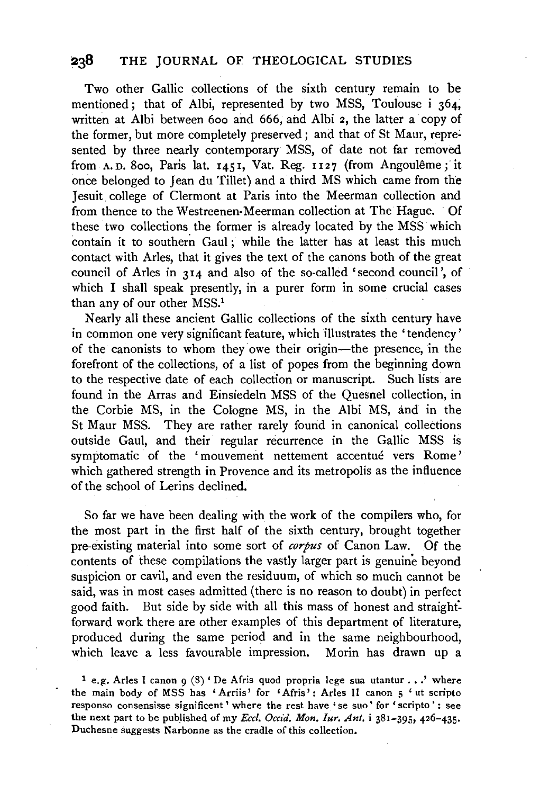## **238** THE JOURNAL OF THEOLOGICAL STUDIES

Two other Gallic collections of the sixth century remain to be mentioned; that of Albi, represented by two MSS, Toulouse i 364, written at Albi between 600 and 666, and Albi 2, the latter a copy of the former, but more completely preserved; and that of St Maur, represented by three nearly contemporary MSS, of date not far removed from A. D. 800, Paris lat.  $1451$ , Vat. Reg.  $1127$  (from Angoulême; it once belonged to Jean du Tillet) and a third MS which came from the Jesuit. college of Clermont at Paris into the Meerman collection and from thence to the Westreenen-Meerman collection at The Hague. Of these two collections the former is already located by the MSS which contain it to southern Gaul; while the latter has at least this much contact with Arles, that it gives the text of the canons both of the great council of Arles in 314 and also of the so-called 'second council', of which I shall speak presently, in a purer form in some crucial cases than any of our other MSS.<sup>1</sup>

Nearly all these ancient Gallic collections of the sixth century have in common one very significant feature, which illustrates the 'tendency' of the canonists to whom they owe their origin-the presence, in the forefront of the collections, of a list of popes from the beginning down to the respective date of each collection or manuscript. Such lists are found in the Arras and Einsiedeln MSS of the Quesnel collection, in the Corbie MS, in the Cologne MS, in the Albi MS, and in the St Maur MSS. They are rather rarely found in canonical collections outside Gaul, and their regular recurrence in the Gallic MSS is symptomatic of the 'mouvement nettement accentué vers Rome' which gathered strength in Provence and its metropolis as the influence of the school of Lerins declined.

So far we have been dealing with the work of the compilers who, for the most part in the first half of the sixth century, brought together pre-existing material into some sort of *corpus* of Canon Law. Of the contents of these compilations the vastly larger part is genuine beyond suspicion or cavil, and even the residuum, of which so much cannot be said, was in most cases admitted (there is no reason to doubt) in perfect good faith. But side by side with all this mass of honest and straight: forward work there are other examples of this department of literature, produced during the same period and in the same neighbourhood, which leave a less favourable impression. Morin has drawn up a

<sup>1</sup> e.g. Arles I canon 9 (8) 'De Afris quod propria lege sua utantur ...' where the main body of MSS has 'Arriis' for 'Afris' : Aries II canon 5 ' ut scripto responso consensisse significent' where the rest have 'se suo' for 'scripto': see the next part to be published of my *Eccl. Occid. Mon. Iur. Ant.*  $i$   $381-395$ ,  $426-435$ . Duchesne suggests Narbonne as the cradle of this collection.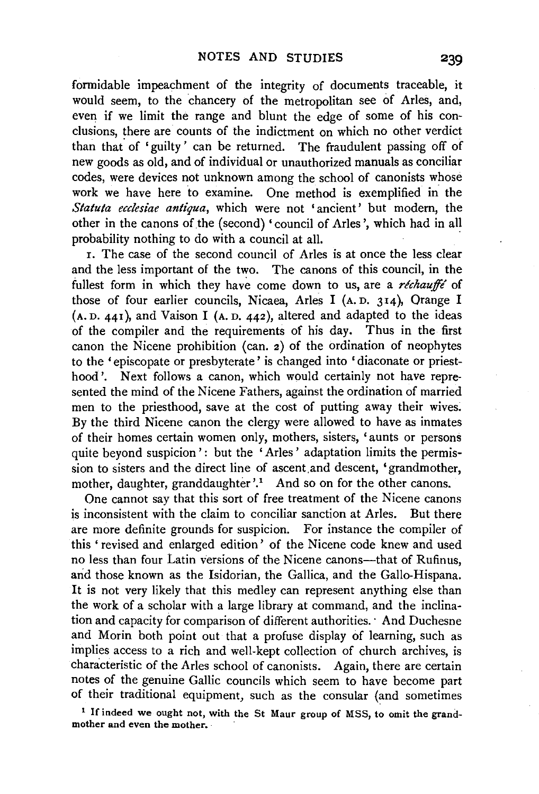formidable impeachment of the integrity of documents traceable, it would seem, to the chancery of the metropolitan see of Arles, and, even if we limit the range and blunt the edge of some of his conclusions, there are counts of the indictment on which no other verdict than that of 'guilty' can be returned. The fraudulent passing off of new goods as old, and of individual or unauthorized manuals as conciliar codes, were devices not unknown among the school of canonists whose work we have here to examine. One method is exemplified in the *Statuta ecclesiae antiqua,* which were not 'ancient' but modern, the other in the canons of the (second)' council of Aries', which had in all probability nothing to do with a council at all.

r. The case of the second council of Aries is at once the less clear and the less important of the two. The canons of this council, in the fullest form in which they have come down to us, are a *réchauffé* of those of four earlier councils, Nicaea, Aries I (A. D. 314), Orange I (A. D. 441 ), and Vaison I (A. D. 442 ), altered and adapted to the ideas of the compiler and the requirements of his day. Thus in the first canon the Nicene prohibition (can. 2) of the ordination of neophytes to the 'episcopate or presbyterate ' is changed into 'diaconate or priesthood'. Next follows a canon, which would certainly not have represented the mind of the Nicene Fathers, against the ordination of married men to the priesthood, save at the cost of putting away their wives. By the third Nicene canon the clergy were allowed to have as inmates of their homes certain women only, mothers, sisters, 'aunts or persons quite beyond suspicion': but the 'Aries' adaptation limits the permission to sisters and the direct line of ascent and descent, 'grandmother, mother, daughter, granddaughter'.<sup>1</sup> And so on for the other canons.

One cannot say that this sort of free treatment of the Nicene canons is inconsistent with the claim to conciliar sanction at Aries. But there are more definite grounds for suspicion. For instance the compiler of this 'revised and enlarged edition' of the Nicene code knew and used no less than four Latin versions of the Nicene canons—that of Rufinus, arid those known as the Isidorian, the Gallica, and the Gallo-Hispana. It is not very likely that this medley can represent anything else than the work of a scholar with a large library at command, and the inclination and capacity for comparison of different authorities. · And Duchesne and Morin both point out that a profuse display of learning, such as implies access to a rich and well-kept collection of church archives, is characteristic of the Aries school of canonists. Again, there are certain notes of the genuine Gallic councils which seem to have become part of their traditional equipment, such as the consular (and sometimes

<sup>1</sup> If indeed we ought not, with the St Maur group of MSS, to omit the grandmother and even the mother.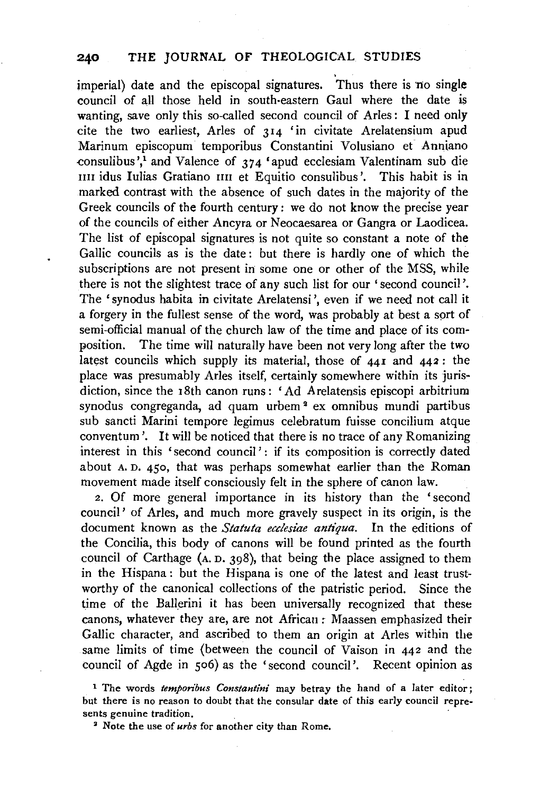### **240 THE** JOURNAL OF THEOLOGICAL STUDIES

imperial) date and the episcopal signatures. Thus there is no single council of all those held in south-eastern Gaul where the date is wanting, save only this so-called second council of Aries: I need only cite the two earliest, Arles of 314 'in civitate Arelatensium apud Marinum episcopum temporibus Constantini Volusiano et Anniano consulibus',<sup>1</sup> and Valence of 374 'apud ecclesiam Valentinam sub die 1m idus Julias Gratiano IIII et Equitio consulibus '. This habit is in marked contrast with the absence of such dates in the majority of the Greek councils of the fourth century : we do not know the precise year of the councils of either Ancyra or Neocaesarea or Gangra or Laodicea. The list of episcopal signatures is not quite so constant a note of the Gallic councils as is the date: but there is hardly one of which the subscriptions are not present in some one or other of the MSS, while there is not the slightest trace of any such list for our 'second council'. The 'synodus habita in civitate Arelatensi', even if we need not call it a forgery in the fullest sense of the word, was probably at best a sort of semi-official manual of the church law of the time and place of its composition. The time will naturally have been not very long after the two latest councils which supply its material, those of 441 and 442 : the place was presumably Aries itself, certainly somewhere within its jurisdiction, since the 18th canon runs: 'Ad Arelatensis episcopi arbitrium synodus congreganda, ad quam urbem<sup>2</sup> ex omnibus mundi partibus sub sancti Marini tempore legimus celebratum fuisse concilium atque conventum '. It will be noticed that there is no trace of any Romanizing interest in this 'second council': if its composition is correctly dated about A. D. 450, that was perhaps somewhat earlier than the Roman movement made itself consciously felt in the sphere of canon law.

2. Of more general importance in its history than the 'second council' of Aries, and much more gravely suspect in its origin, is the document known as the *Statuta ecc!esiae antiqua.* In the editions of the Concilia, this body of canons will be found printed as the fourth council of Carthage (A. D. 398), that being the place assigned to them in the Hispana: but the Hispana is one of the latest and least trustworthy of the canonical collections of the patristic period. Since the time of the BaHerini it has been universally recognized that these canons, whatever they are, are not African: Maassen emphasized their Gallic character, and ascribed to them an origin at Aries within the same limits of time (between the council of Vaison in 442 and the council of Agde in 506) as the 'second council'. Recent opinion as

<sup>1</sup> The words *temporibus Constantini* may betray the hand of a later editor; I the words *temporibus* Constantini may be tray the hand of a later editor; but there is no reason to doubt that the consular date of this early council represents genuine tradition.

<sup>&</sup>lt;sup>2</sup> Note the use of *urbs* for another city than Rome.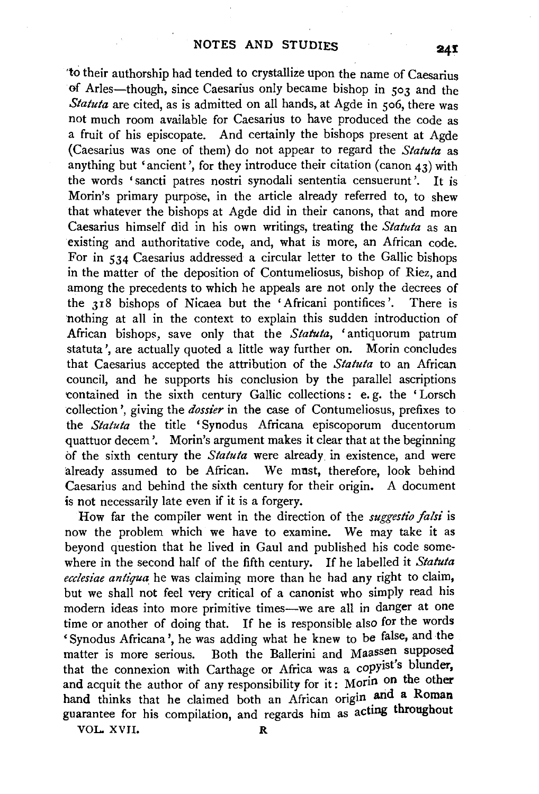·to their authorship had tended to crystallize upon the name of Caesarius of Aries-though, since Caesarius only became bishop in 503 and the *Statuta* are cited, as is admitted on all hands, at Agde in 506, there was not much room available for Caesarius to have produced the code as a fruit of his episcopate. And certainly the bishops present at Agde (Caesarius was one of them) do not appear to regard the *Statuta* as anything but 'ancient', for they introduce their citation (canon 43) with the words 'sancti patres nostri synodali sententia censuerunt '. It is Morin's primary purpose, in the article already referred to, to shew that whatever the bishops at Agde did in their canons, that and more Caesarius himself did in his own writings, treating the *Statuta* as an existing and authoritative code, and, what is more, an African code. For in 534 Caesarius addressed a circular letter to the Gallic bishops in the matter of the deposition of Contumeliosus, bishop of Riez, and among the precedents to which he appeals are not only the decrees of the 318 bishops of Nicaea but the 'Africani pontifices '. There is nothing at all in the context to explain this sudden introduction of African bishops, save only that the *Statuta,* 'antiquorum patrum statuta ', are actually quoted a little way further on. Morin concludes that Caesarius accepted the attribution of the *Statuta* to an African council, and he supports his conclusion by the parallel ascriptions contained in the sixth century Gallic collections : e. g. the ' Lorsch collection', giving the *dossier* in the case of Contumeliosus, prefixes to the *Statuta* the title 'Synodus Africana episcoporum ducentorum quattuor decem '. Morin's argument makes it clear that at the beginning of the sixth century the *Statuta* were already in existence, and were already assumed to be African. We most, therefore, look behind Caesarius and behind the sixth century for their origin. A document is not necessarily late even if it is a forgery.

How far the compiler went in the direction of the *suggestio falsi* is now the problem which we have to examine. We may take it as beyond question that he lived in Gaul and published his code somewhere in the second half of the fifth century. If he labelled it *Statuta ecclesiae antiqua* he was claiming more than he had any right to claim, but we shall not feel very critical of a canonist who simply read his modern ideas into more primitive times-we are all in danger at one time or another of doing that. If he is responsible also for the words 'Synodus Africana ', he was adding what he knew to be false, and the matter is more serious. Both the Ballerini and Maassen supposed that the connexion with Carthage or Africa was a copyist's blunder, and acquit the author of any responsibility for it: Morin on the other hand thinks that he claimed both an African origin and a Roman guarantee for his compilation, and regards him as acting throughout VOL. XVJI. R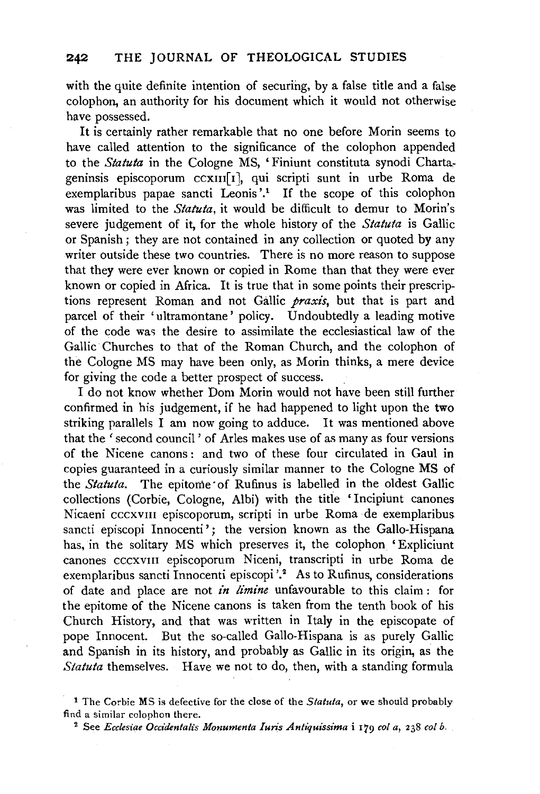with the quite definite intention of securing, by a false title and a false colophon, an authority for his document which it would not otherwise have possessed.

It is certainly rather remarkable that no one before Morin seems to have called attention to the significance of the colophon appended to the *Statuta* in the Cologne MS, 'Finiunt constituta synodi Chartageninsis episcoporum ccxm[1], qui scripti sunt in urbe Roma de exemplaribus papae sancti Leonis'.<sup>1</sup> If the scope of this colophon was limited to the *Statuta,* it would be difficult to demur to Morin's severe judgement of it, for the whole history of the *Statuta* is Gallic or Spanish; they are not contained in any collection or quoted by any writer outside these two countries. There is no more reason to suppose that they were ever known or copied in Rome than that they were ever known or copied in Africa. It is true that in some points their prescriptions represent Roman and not Gallic *praxis,* but that is part and parcel of their 'ultramontane ' policy. Undoubtedly a leading motive of the code wa5 the desire to assimilate the ecclesiastical law of the Gallic Churches to that of the Roman Church, and the colophon of the Cologne MS may have been only, as Morin thinks, a mere device for giving the code a better prospect of success.

I do not know whether Dom Morin would not have been still further confirmed in his judgement, if he had happened to light upon the two striking parallels I am now going to adduce. It was mentioned above that the 'second council ' of Aries makes use of as many as four versions of the Nicene canons : and two of these four circulated in Gaul in copies guaranteed in a curiously similar manner to the Cologne MS of the *Statuta.* The epitome· of Rufinus is labelled in the oldest Gallic collections (Corbie, Cologne, Albi) with the title 'Incipiunt canones Nicaeni cccxvIII episcoporum, scripti in urbe Roma de exemplaribus sancti episcopi Innocenti'; the version known as the Gallo-Hispana has, in the solitary MS which preserves it, the colophon 'Expliciunt canones cccxvIII episcoporum Niceni, transcripti in urbe Roma de exemplaribus sancti Innocenti episcopi $\cdot$ <sup>2</sup> As to Rufinus, considerations of date and place are not *in limine* unfavourable to this claim : for the epitome of the Nicene canons is taken from the tenth book of his Church History, and that was written in Italy in the episcopate of pope Innocent. But the so-called Gallo-Hispana is as purely Gallic and Spanish in its history, and probably as Gallic in its origin, as the *Statuta* themselves. Have we not to do, then, with a standing formula

<sup>1</sup> The Corbie MS is defective for the close of the *Statuta,* or we should probably find a similar colophon there. 2 See *Ecclesiae Occidentalis Monumenta Juris Antiquissima* i 179 *col a,* 238 *col b.*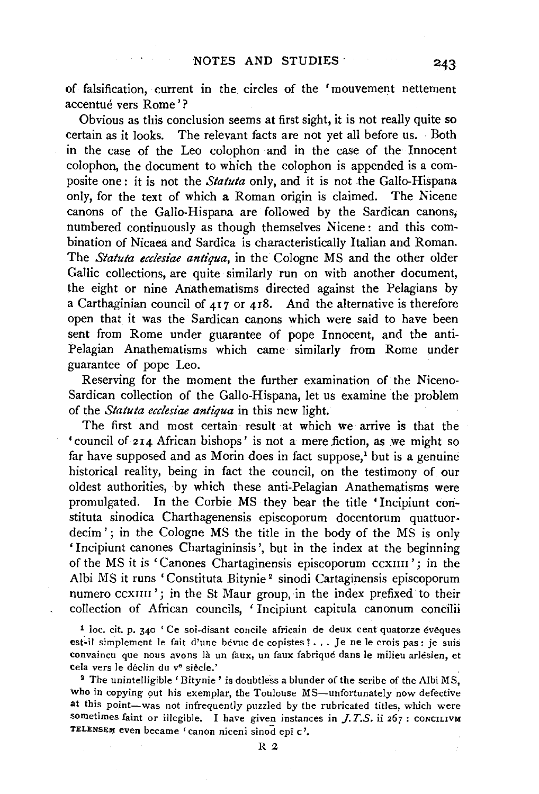of falsification, current in the circles of the 'mouvement nettement accentué vers Rome'?

Obvious as this conclusion seems at first sight, it is not really quite so certain as it looks. The relevant facts are not yet all before us. Both in the case of the Leo colophon and in the case of the Innocent colophon, the document to which the colophon is appended is a composite one: it is not the *Statuta* only, and it is not the Gallo-Hispana only, for the text of which a Roman origin is claimed. The Nicene canons of the Gallo-Hispana are followed by the Sardican canons; numbered continuously as though themselves Nicene: and this combination of Nicaea and Sardica is characteristically Italian and Roman. The *Statuta ecclesiae antiqua,* in the Cologne MS and the other older Gallic collections, are quite similarly run on with another document, the eight or nine Anathematisms directed against the Pelagians by a Carthaginian council of  $417$  or  $418$ . And the alternative is therefore open that it was the Sardican canons which were said to have been sent from Rome under guarantee of pope Innocent, and the anti-Pelagian Anathematisms which came similarly from Rome under guarantee of pope Leo.

Reserving for the moment the further examination of the Niceno-Sardican collection of the Gallo-Hispana, let us examine the problem of the *Statuta ecclesiae antiqua* in this new light.

The first and most certain result at which we arrive is that the 'council of 214 African bishops' is not a mere fiction, as we might so far have supposed and as Morin does in fact suppose,<sup>1</sup> but is a genuine historical reality, being in fact the council, on the testimony of our oldest authorities, by which these anti-Pelagian Anathematisms were promulgated. In the Corbie MS they bear the title 'Incipiunt coristituta sinodica Charthagenensis episcoporum docentorum quattuordecim'; in the Cologne MS the title in the body of the MS is only 'Incipiunt canones Chartagininsis ', but in the index at the beginning of the MS it is 'Canones Chartaginensis episcoporum ccx1m'; in the Albi MS it runs 'Constituta Bitynie 2 sinodi Cartaginensis episcoporum numero ccxIIII'; in the St Maur group, in the index prefixed to their collection of African councils, ' Incipiunt capitula canonum concilii

 $\frac{1}{2}$ loc. cit. p. 340 'Ce soi-disant concile africain de deux cent quatorze évêques est-il simplement le fait d'une bévue de copistes ?... Je ne le crois pas : je suis convaincu que nous avons là un faux, un faux fabriqué dans le milieu arlésien, et cela vers le déclin du v<sup>e</sup> siècle.'<br><sup>2</sup> The unintelligible 'Bitynie' is doubtless a blunder of the scribe of the Albi MS.

who in copying out his exemplar, the Toulouse MS-unfortunately now defective at this point-was not infrequently puzzled by the rubricated titles, which were sometimes faint or illegible. I have given instances in  $J. T. S.$  ii 267 : CONCILIVM TELENSE HALL OF HISSONS. I Have given instances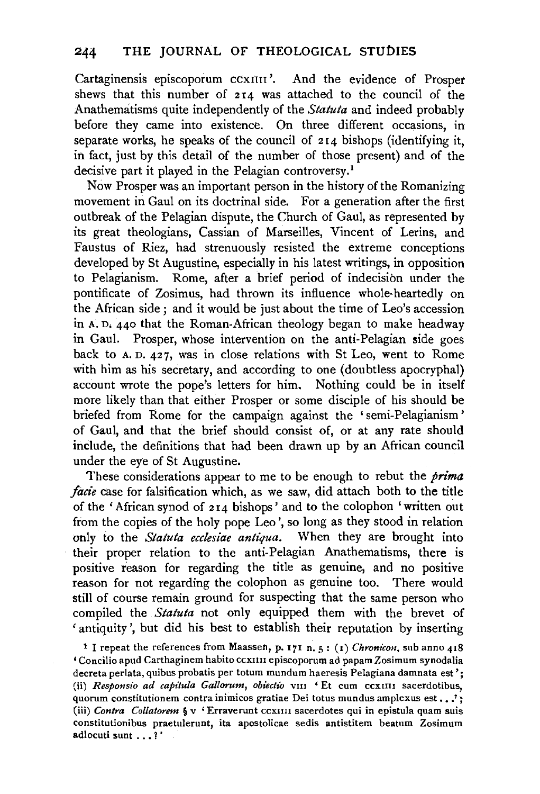Cartaginensis episcoporum cCXIIII'. And the evidence of Prosper shews that this number of 2r4 was attached to the council of the Anathematisms quite independently of the *Statuta* and indeed probably before they came into existence. On three different occasions, in separate works, he speaks of the council of 214 bishops (identifying it, in fact, just by this detail of the number of those present) and of the decisive part it played in the Pelagian controversy.<sup>1</sup>

Now Prosper was an important person in the history of the Romanizing movement in Gaul on its doctrinal side. For a generation after the first outbreak of the Pelagian dispute, the Church of Gaul, as represented by its great theologians, Cassian of Marseilles, Vincent of Lerins, and Faustus of Riez, had strenuously resisted the extreme conceptions developed by St Augustine, especially in his latest writings, in opposition to Pelagianism. Rome, after a brief period of indecision under the pontificate of Zosimus, had thrown its influence whole-heartedly on the African side ; and it would be just about the time of Leo's accession in A. D. 440 that the Roman-African theology began to make headway in Gaul. Prosper, whose intervention on the anti-Pelagian side goes back to A. D. 427, was in close relations with St Leo, went to Rome with him as his secretary, and according to one (doubtless apocryphal) account wrote the pope's letters for him. Nothing could be in itself more likely than that either Prosper or some disciple of his should be briefed from Rome for the campaign against the 'semi-Pelagianism' of Gaul, and that the brief should consist of, or at any rate should include, the definitions that had been drawn up by an African council under the eye of St Augustine.

These considerations appear to me to be enough to rebut the *prima facie* case for falsification which, as we saw, did attach both to the title of the 'African synod of 214 bishops' and to the colophon 'written out from the copies of the holy pope Leo ', so long as they stood in relation only to the *Statuta ecclesiae antiqua.* When they are brought into their proper relation to the anti-Pelagian Anathematisms, there is positive reason for regarding the title as genuine, and no positive reason for not regarding the colophon as genuine too. There would still of course remain ground for suspecting that the same person who compiled the *Statuta* not only equipped them with the brevet of 'antiquity', but did his best to establish their reputation by inserting

1 I repeat the references from Maassen, p. 171 n. *5:* (1) *Chronicon,* sub anno 418 'Concilio apud Carthaginem habito CCXIIII episcoporum ad papam Zosimum synodalia decreta perlata, quibus probatis per totum mundum haeresis Pelagiana damnata est'; (ii) *Responsio ad capitula Gallorum, obiectio* vIII ' Et cum ccxIIII sacerdotibus, quorum constitution em contra inimicos gratiae Dei totus mundus amplexus est...'; (iii) *Contra Collatorem* § v 'Erraverunt ccxm1 sacerdotes qui in epistula quam suis constitutionibus praetulerunt, ita apostolicae sedis antistitem beatum Zosimum adlocuti sunt . . . ?'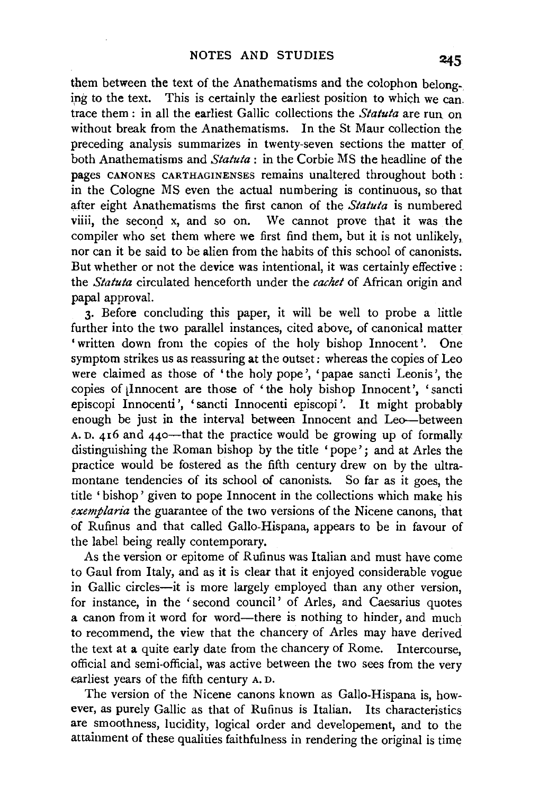them between the text of the Anathematisms and the colophon belonging to the text. This is certainly the earliest position to which we can. trace them : in all the earliest Gallic collections the *Statuta* are run on without break from the Anathematisms. In the St Maur collection the preceding analysis summarizes in twenty-seven sections the matter of both Anathematisms and *Statuta* : in the Corbie MS the headline of the pages CANONES CARTHAGINENSES remains unaltered throughout both : in the Cologne MS even the actual numbering is continuous, so that after eight Anathematisms the first canon of the *Statuta* is numbered viiii, the second x, and so on. We cannot prove that it was the compiler who set them where we first find them, but it is not unlikely, nor can it be said to be alien from the habits of this school of canonists. But whether or not the device was intentional, it was certainly effective : the *Statuta* circulated henceforth under the *cachet* of African origin anct papal approval.

3. Before concluding this paper, it will be well to probe a little further into the two parallel instances, cited above, of canonical matter 'written down from the copies of the holy bishop Innocent'. One symptom strikes us as reassuring at the outset: whereas the copies of Leo were claimed as those of 'the holy pope', 'papae sancti Leonis', the copies of Innocent are those of 'the holy bishop Innocent', 'sancti episcopi Innocenti', 'sancti Innocenti episcopi '. It might probably enough be just in the interval between Innocent and Leo-between A. D.  $416$  and  $440$ —that the practice would be growing up of formally distinguishing the Roman bishop by the title ' pope' ; and at Aries the practice would be fostered as the fifth century drew on by the ultramontane tendencies of its school of canonists. So far as it goes, the title 'bishop' given to pope Innocent in the collections which make his *exemplaria* the guarantee of the two versions of the Nicene canons, that of Rufinus and that called Gallo-Hispana, appears to be in favour of the label being really contemporary.

As the version or epitome of Rufinus was Italian and must have come to Gaul from Italy, and as it is clear that it enjoyed considerable vogue in Gallic circles-it is more largely employed than any other version, for instance, in the 'second council' of Arles, and Caesarius quotes a canon from it word for word-there is nothing to hinder, and much to recommend, the view that the chancery of Aries may have derived the text at a quite early date from the chancery of Rome. Intercourse, official and semi-official, was active between the two sees from the very earliest years of the fifth century A. D.

The version of the Nicene canons known as Gallo-Hispana is, however, as purely Gallic as that of Rufinus is Italian. Its characteristics are smoothness, lucidity, logical order and developement, and to the attainment of these qualities faithfulness in rendering the original is time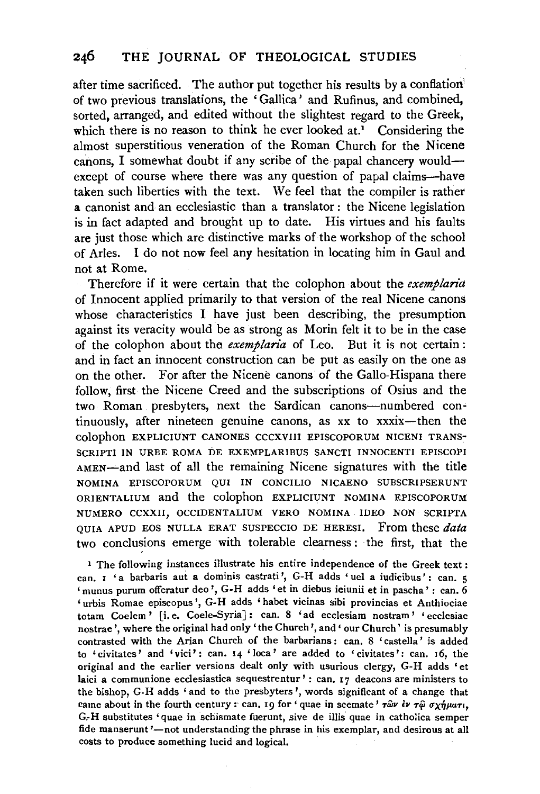after time sacrificed. The author put together his results by a conflation' of two previous translations, the 'Gallica' and Rufinus, and combined, sorted, arranged, and edited without the slightest regard to the Greek, which there is no reason to think he ever looked at.<sup>1</sup> Considering the almost superstitious veneration of the Roman Church for the Nicene canons, I somewhat doubt if any scribe of the papal chancery wouldexcept of course where there was any question of papal claims-have taken such liberties with the text. We feel that the compiler is rather a canonist and an ecclesiastic than a translator: the Nicene legislation is in fact adapted and brought up to date. His virtues and his faults are just those which are distinctive marks of the workshop of the school of Aries. I do not now feel any hesitation in locating him in Gaul and not at Rome.

Therefore if it were certain that the colophon about the *exemplaria* of Innocent applied primarily to that version of the real Nicene canons whose characteristics I have just been describing, the presumption against its veracity would be as strong as Morin felt it to be in the case of the colophon about the *exemplaria* of Leo. But it is not certain : and in fact an innocent construction can be put as easily on the one as on the other. For after the Nicene canons of the Gallo-Hispana there follow, first the Nicene Creed and the subscriptions of Osius and the two Roman presbyters, next the Sardican canons-numbered continuously, after nineteen genuine canons, as xx to xxxix-then the colophon EXPLICIUNT CANONES CCCXVIII EPISCOPORUM NICENI TRANS~ SCRIPTI IN URBE ROMA DE EXEMPLARIBUS SANCTI INNOCENTI EPISCOPI AMEN-and last of all the remaining Nicene signatures with the title NOMINA EPISCOPORUM QUI IN CONCILIO NICAENO SUBSCRIPSERUNT ORIENTALIUM and the colophon EXPLICIUNT NOMINA EPISCOPORUM NUMERO CCXXII, OCCIDENTALIUM VERO NOMINA IDEO NON SCRIPTA QUIA APUD EOS NULLA ERAT SUSPECCIO DE HERESI. From these *data*  two conclusions emerge with tolerable clearness: the first, that the

1 The following instances illustrate his entire independence of the Greek text : can. 1 'a barbaris aut a dominis castrati ', G-H adds 'uel a iudicibus': can. 5 'munus purum offeratur deo ', G-H adds 'et in diebus ieiunii et in pascha' : can. 6 ' urbis Romae episcopus ', G-H adds ' habet vicinas sibi provincias et Anthiociae totam Coelem' [i. e. Coele-Syria] : can. 8 'ad ecclesiam nostram' 'ecclesiae nostrae ', where the original had only 'the Church', and' our Church' is presumably contrasted with the Arian Church of the barbarians: can. 8 'castella' is added to 'civitates' and 'vici' : can. 14 ' loca ' are added to ' civitates': can. 16, the original and the earlier versions dealt only with usurious clergy, G-H adds 'et laici a communione ecclesiastica sequestrentur' : can, 17 deacons are ministers to the bishop, G-H adds 'and to the presbyters', words significant of a change that came about in the fourth century: can, 19 for ' quae in scemate' των έν τω σχήματι, G"H substitutes 'quae in schismate fuerunt, sive de illis quae in catholica semper fide manserunt '-not understanding the phrase in his exemplar, and desirous at all costs to produce something lucid and logical.